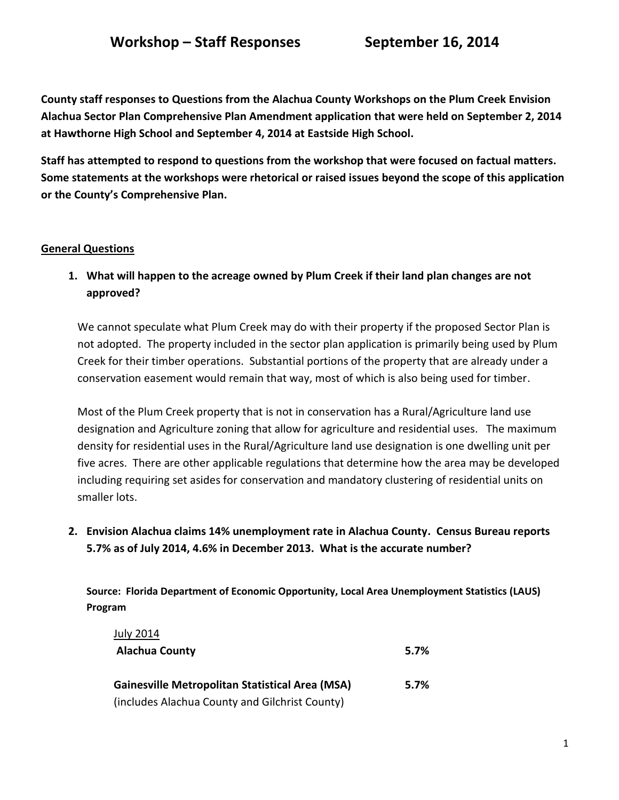**County staff responses to Questions from the Alachua County Workshops on the Plum Creek Envision Alachua Sector Plan Comprehensive Plan Amendment application that were held on September 2, 2014 at Hawthorne High School and September 4, 2014 at Eastside High School.** 

**Staff has attempted to respond to questions from the workshop that were focused on factual matters. Some statements at the workshops were rhetorical or raised issues beyond the scope of this application or the County's Comprehensive Plan.**

## **General Questions**

**1. What will happen to the acreage owned by Plum Creek if their land plan changes are not approved?**

We cannot speculate what Plum Creek may do with their property if the proposed Sector Plan is not adopted. The property included in the sector plan application is primarily being used by Plum Creek for their timber operations. Substantial portions of the property that are already under a conservation easement would remain that way, most of which is also being used for timber.

Most of the Plum Creek property that is not in conservation has a Rural/Agriculture land use designation and Agriculture zoning that allow for agriculture and residential uses. The maximum density for residential uses in the Rural/Agriculture land use designation is one dwelling unit per five acres. There are other applicable regulations that determine how the area may be developed including requiring set asides for conservation and mandatory clustering of residential units on smaller lots.

**2. Envision Alachua claims 14% unemployment rate in Alachua County. Census Bureau reports 5.7% as of July 2014, 4.6% in December 2013. What is the accurate number?**

**Source: Florida Department of Economic Opportunity, Local Area Unemployment Statistics (LAUS) Program**

| <b>July 2014</b>                                       |      |
|--------------------------------------------------------|------|
| <b>Alachua County</b>                                  | 5.7% |
|                                                        |      |
| <b>Gainesville Metropolitan Statistical Area (MSA)</b> | 5.7% |
| (includes Alachua County and Gilchrist County)         |      |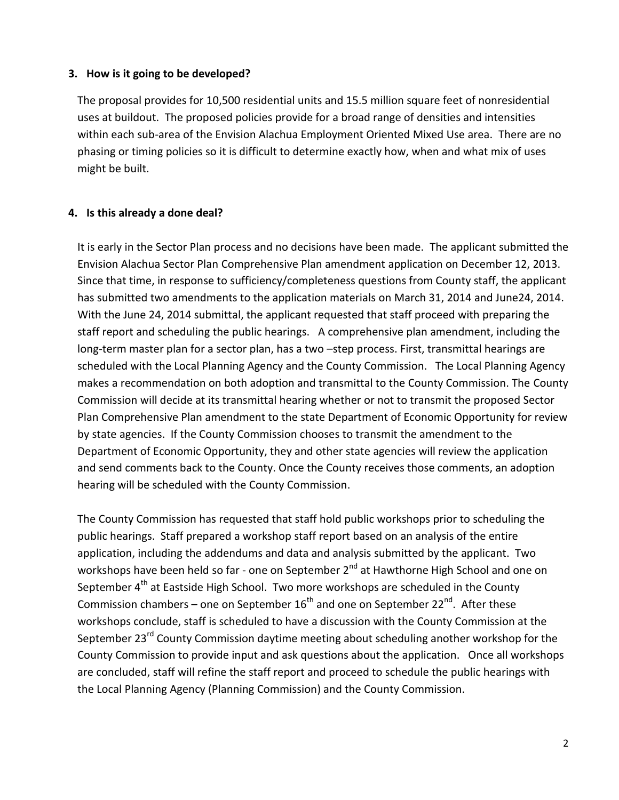#### **3. How is it going to be developed?**

The proposal provides for 10,500 residential units and 15.5 million square feet of nonresidential uses at buildout. The proposed policies provide for a broad range of densities and intensities within each sub-area of the Envision Alachua Employment Oriented Mixed Use area. There are no phasing or timing policies so it is difficult to determine exactly how, when and what mix of uses might be built.

#### **4. Is this already a done deal?**

It is early in the Sector Plan process and no decisions have been made. The applicant submitted the Envision Alachua Sector Plan Comprehensive Plan amendment application on December 12, 2013. Since that time, in response to sufficiency/completeness questions from County staff, the applicant has submitted two amendments to the application materials on March 31, 2014 and June24, 2014. With the June 24, 2014 submittal, the applicant requested that staff proceed with preparing the staff report and scheduling the public hearings. A comprehensive plan amendment, including the long-term master plan for a sector plan, has a two –step process. First, transmittal hearings are scheduled with the Local Planning Agency and the County Commission. The Local Planning Agency makes a recommendation on both adoption and transmittal to the County Commission. The County Commission will decide at its transmittal hearing whether or not to transmit the proposed Sector Plan Comprehensive Plan amendment to the state Department of Economic Opportunity for review by state agencies. If the County Commission chooses to transmit the amendment to the Department of Economic Opportunity, they and other state agencies will review the application and send comments back to the County. Once the County receives those comments, an adoption hearing will be scheduled with the County Commission.

The County Commission has requested that staff hold public workshops prior to scheduling the public hearings. Staff prepared a workshop staff report based on an analysis of the entire application, including the addendums and data and analysis submitted by the applicant. Two workshops have been held so far - one on September 2<sup>nd</sup> at Hawthorne High School and one on September  $4<sup>th</sup>$  at Eastside High School. Two more workshops are scheduled in the County Commission chambers – one on September  $16^{th}$  and one on September 22<sup>nd</sup>. After these workshops conclude, staff is scheduled to have a discussion with the County Commission at the September 23<sup>rd</sup> County Commission daytime meeting about scheduling another workshop for the County Commission to provide input and ask questions about the application. Once all workshops are concluded, staff will refine the staff report and proceed to schedule the public hearings with the Local Planning Agency (Planning Commission) and the County Commission.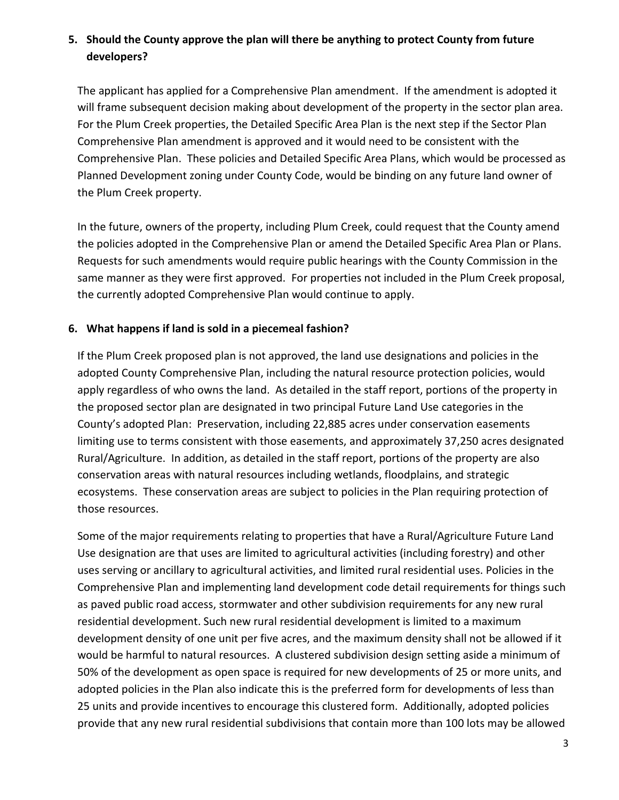## **5. Should the County approve the plan will there be anything to protect County from future developers?**

The applicant has applied for a Comprehensive Plan amendment. If the amendment is adopted it will frame subsequent decision making about development of the property in the sector plan area. For the Plum Creek properties, the Detailed Specific Area Plan is the next step if the Sector Plan Comprehensive Plan amendment is approved and it would need to be consistent with the Comprehensive Plan. These policies and Detailed Specific Area Plans, which would be processed as Planned Development zoning under County Code, would be binding on any future land owner of the Plum Creek property.

In the future, owners of the property, including Plum Creek, could request that the County amend the policies adopted in the Comprehensive Plan or amend the Detailed Specific Area Plan or Plans. Requests for such amendments would require public hearings with the County Commission in the same manner as they were first approved. For properties not included in the Plum Creek proposal, the currently adopted Comprehensive Plan would continue to apply.

## **6. What happens if land is sold in a piecemeal fashion?**

If the Plum Creek proposed plan is not approved, the land use designations and policies in the adopted County Comprehensive Plan, including the natural resource protection policies, would apply regardless of who owns the land. As detailed in the staff report, portions of the property in the proposed sector plan are designated in two principal Future Land Use categories in the County's adopted Plan: Preservation, including 22,885 acres under conservation easements limiting use to terms consistent with those easements, and approximately 37,250 acres designated Rural/Agriculture. In addition, as detailed in the staff report, portions of the property are also conservation areas with natural resources including wetlands, floodplains, and strategic ecosystems. These conservation areas are subject to policies in the Plan requiring protection of those resources.

Some of the major requirements relating to properties that have a Rural/Agriculture Future Land Use designation are that uses are limited to agricultural activities (including forestry) and other uses serving or ancillary to agricultural activities, and limited rural residential uses. Policies in the Comprehensive Plan and implementing land development code detail requirements for things such as paved public road access, stormwater and other subdivision requirements for any new rural residential development. Such new rural residential development is limited to a maximum development density of one unit per five acres, and the maximum density shall not be allowed if it would be harmful to natural resources. A clustered subdivision design setting aside a minimum of 50% of the development as open space is required for new developments of 25 or more units, and adopted policies in the Plan also indicate this is the preferred form for developments of less than 25 units and provide incentives to encourage this clustered form. Additionally, adopted policies provide that any new rural residential subdivisions that contain more than 100 lots may be allowed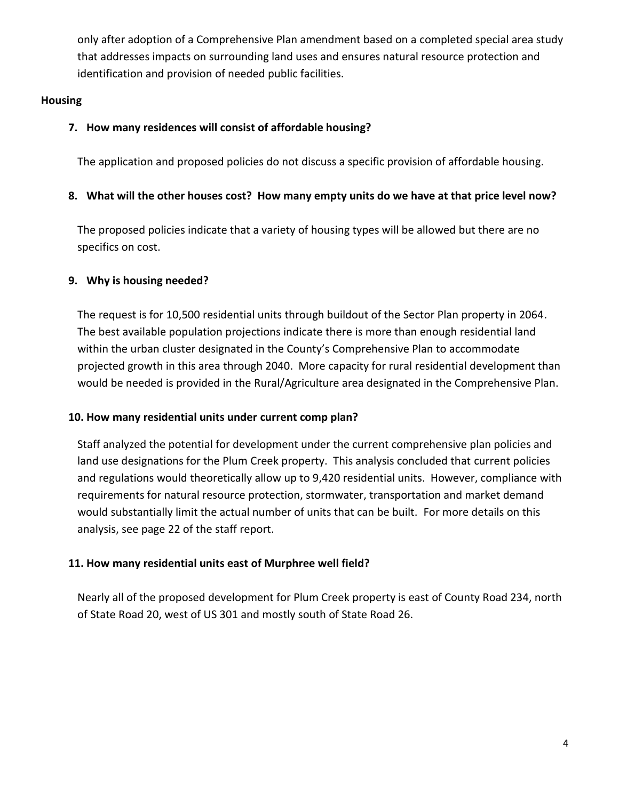only after adoption of a Comprehensive Plan amendment based on a completed special area study that addresses impacts on surrounding land uses and ensures natural resource protection and identification and provision of needed public facilities.

## **Housing**

## **7. How many residences will consist of affordable housing?**

The application and proposed policies do not discuss a specific provision of affordable housing.

## **8. What will the other houses cost? How many empty units do we have at that price level now?**

The proposed policies indicate that a variety of housing types will be allowed but there are no specifics on cost.

## **9. Why is housing needed?**

The request is for 10,500 residential units through buildout of the Sector Plan property in 2064. The best available population projections indicate there is more than enough residential land within the urban cluster designated in the County's Comprehensive Plan to accommodate projected growth in this area through 2040. More capacity for rural residential development than would be needed is provided in the Rural/Agriculture area designated in the Comprehensive Plan.

## **10. How many residential units under current comp plan?**

Staff analyzed the potential for development under the current comprehensive plan policies and land use designations for the Plum Creek property. This analysis concluded that current policies and regulations would theoretically allow up to 9,420 residential units. However, compliance with requirements for natural resource protection, stormwater, transportation and market demand would substantially limit the actual number of units that can be built. For more details on this analysis, see page 22 of the staff report.

## **11. How many residential units east of Murphree well field?**

Nearly all of the proposed development for Plum Creek property is east of County Road 234, north of State Road 20, west of US 301 and mostly south of State Road 26.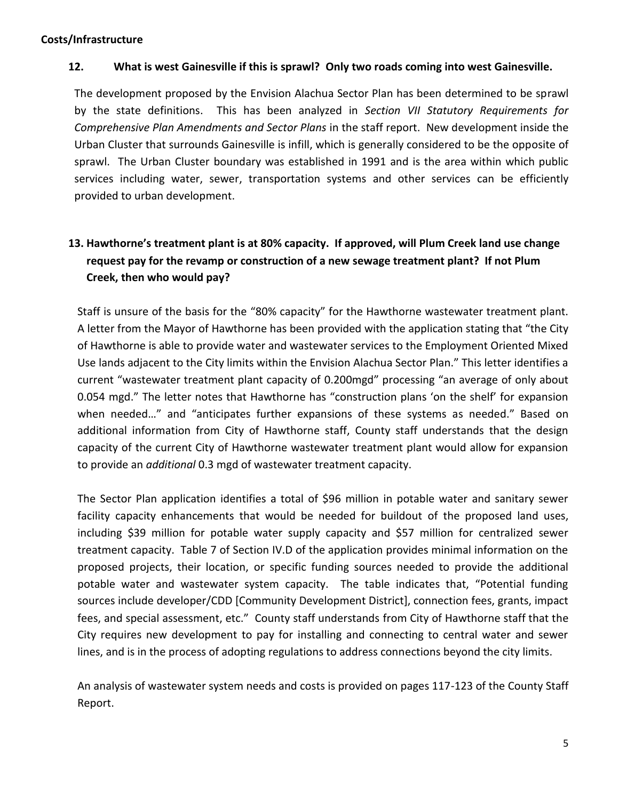#### **Costs/Infrastructure**

### **12. What is west Gainesville if this is sprawl? Only two roads coming into west Gainesville.**

The development proposed by the Envision Alachua Sector Plan has been determined to be sprawl by the state definitions. This has been analyzed in *Section VII Statutory Requirements for Comprehensive Plan Amendments and Sector Plans* in the staff report. New development inside the Urban Cluster that surrounds Gainesville is infill, which is generally considered to be the opposite of sprawl. The Urban Cluster boundary was established in 1991 and is the area within which public services including water, sewer, transportation systems and other services can be efficiently provided to urban development.

# **13. Hawthorne's treatment plant is at 80% capacity. If approved, will Plum Creek land use change request pay for the revamp or construction of a new sewage treatment plant? If not Plum Creek, then who would pay?**

Staff is unsure of the basis for the "80% capacity" for the Hawthorne wastewater treatment plant. A letter from the Mayor of Hawthorne has been provided with the application stating that "the City of Hawthorne is able to provide water and wastewater services to the Employment Oriented Mixed Use lands adjacent to the City limits within the Envision Alachua Sector Plan." This letter identifies a current "wastewater treatment plant capacity of 0.200mgd" processing "an average of only about 0.054 mgd." The letter notes that Hawthorne has "construction plans 'on the shelf' for expansion when needed…" and "anticipates further expansions of these systems as needed." Based on additional information from City of Hawthorne staff, County staff understands that the design capacity of the current City of Hawthorne wastewater treatment plant would allow for expansion to provide an *additional* 0.3 mgd of wastewater treatment capacity.

The Sector Plan application identifies a total of \$96 million in potable water and sanitary sewer facility capacity enhancements that would be needed for buildout of the proposed land uses, including \$39 million for potable water supply capacity and \$57 million for centralized sewer treatment capacity. Table 7 of Section IV.D of the application provides minimal information on the proposed projects, their location, or specific funding sources needed to provide the additional potable water and wastewater system capacity. The table indicates that, "Potential funding sources include developer/CDD [Community Development District], connection fees, grants, impact fees, and special assessment, etc." County staff understands from City of Hawthorne staff that the City requires new development to pay for installing and connecting to central water and sewer lines, and is in the process of adopting regulations to address connections beyond the city limits.

An analysis of wastewater system needs and costs is provided on pages 117-123 of the County Staff Report.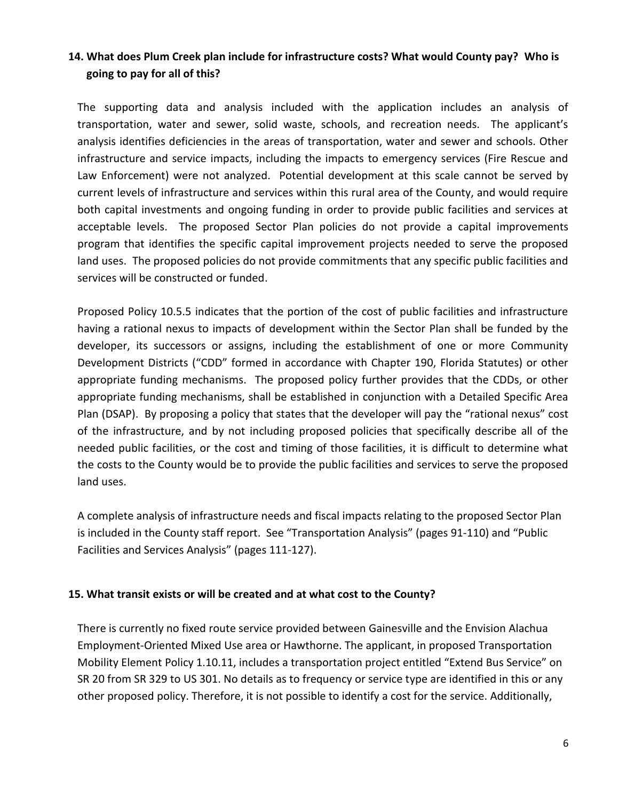## **14. What does Plum Creek plan include for infrastructure costs? What would County pay? Who is going to pay for all of this?**

The supporting data and analysis included with the application includes an analysis of transportation, water and sewer, solid waste, schools, and recreation needs. The applicant's analysis identifies deficiencies in the areas of transportation, water and sewer and schools. Other infrastructure and service impacts, including the impacts to emergency services (Fire Rescue and Law Enforcement) were not analyzed. Potential development at this scale cannot be served by current levels of infrastructure and services within this rural area of the County, and would require both capital investments and ongoing funding in order to provide public facilities and services at acceptable levels. The proposed Sector Plan policies do not provide a capital improvements program that identifies the specific capital improvement projects needed to serve the proposed land uses. The proposed policies do not provide commitments that any specific public facilities and services will be constructed or funded.

Proposed Policy 10.5.5 indicates that the portion of the cost of public facilities and infrastructure having a rational nexus to impacts of development within the Sector Plan shall be funded by the developer, its successors or assigns, including the establishment of one or more Community Development Districts ("CDD" formed in accordance with Chapter 190, Florida Statutes) or other appropriate funding mechanisms. The proposed policy further provides that the CDDs, or other appropriate funding mechanisms, shall be established in conjunction with a Detailed Specific Area Plan (DSAP). By proposing a policy that states that the developer will pay the "rational nexus" cost of the infrastructure, and by not including proposed policies that specifically describe all of the needed public facilities, or the cost and timing of those facilities, it is difficult to determine what the costs to the County would be to provide the public facilities and services to serve the proposed land uses.

A complete analysis of infrastructure needs and fiscal impacts relating to the proposed Sector Plan is included in the County staff report. See "Transportation Analysis" (pages 91-110) and "Public Facilities and Services Analysis" (pages 111-127).

#### **15. What transit exists or will be created and at what cost to the County?**

There is currently no fixed route service provided between Gainesville and the Envision Alachua Employment-Oriented Mixed Use area or Hawthorne. The applicant, in proposed Transportation Mobility Element Policy 1.10.11, includes a transportation project entitled "Extend Bus Service" on SR 20 from SR 329 to US 301. No details as to frequency or service type are identified in this or any other proposed policy. Therefore, it is not possible to identify a cost for the service. Additionally,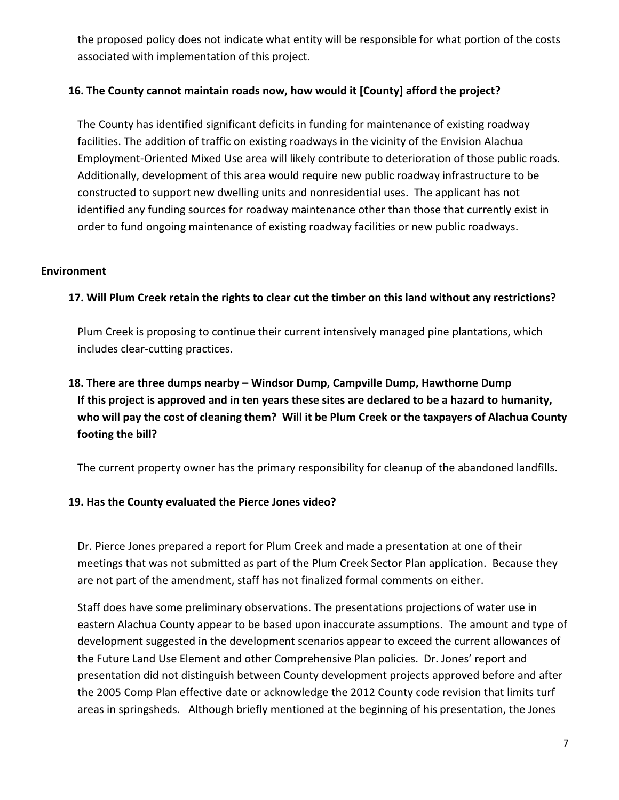the proposed policy does not indicate what entity will be responsible for what portion of the costs associated with implementation of this project.

## **16. The County cannot maintain roads now, how would it [County] afford the project?**

The County has identified significant deficits in funding for maintenance of existing roadway facilities. The addition of traffic on existing roadways in the vicinity of the Envision Alachua Employment-Oriented Mixed Use area will likely contribute to deterioration of those public roads. Additionally, development of this area would require new public roadway infrastructure to be constructed to support new dwelling units and nonresidential uses. The applicant has not identified any funding sources for roadway maintenance other than those that currently exist in order to fund ongoing maintenance of existing roadway facilities or new public roadways.

### **Environment**

## **17. Will Plum Creek retain the rights to clear cut the timber on this land without any restrictions?**

Plum Creek is proposing to continue their current intensively managed pine plantations, which includes clear-cutting practices.

# **18. There are three dumps nearby – Windsor Dump, Campville Dump, Hawthorne Dump If this project is approved and in ten years these sites are declared to be a hazard to humanity, who will pay the cost of cleaning them? Will it be Plum Creek or the taxpayers of Alachua County footing the bill?**

The current property owner has the primary responsibility for cleanup of the abandoned landfills.

## **19. Has the County evaluated the Pierce Jones video?**

Dr. Pierce Jones prepared a report for Plum Creek and made a presentation at one of their meetings that was not submitted as part of the Plum Creek Sector Plan application. Because they are not part of the amendment, staff has not finalized formal comments on either.

Staff does have some preliminary observations. The presentations projections of water use in eastern Alachua County appear to be based upon inaccurate assumptions. The amount and type of development suggested in the development scenarios appear to exceed the current allowances of the Future Land Use Element and other Comprehensive Plan policies. Dr. Jones' report and presentation did not distinguish between County development projects approved before and after the 2005 Comp Plan effective date or acknowledge the 2012 County code revision that limits turf areas in springsheds. Although briefly mentioned at the beginning of his presentation, the Jones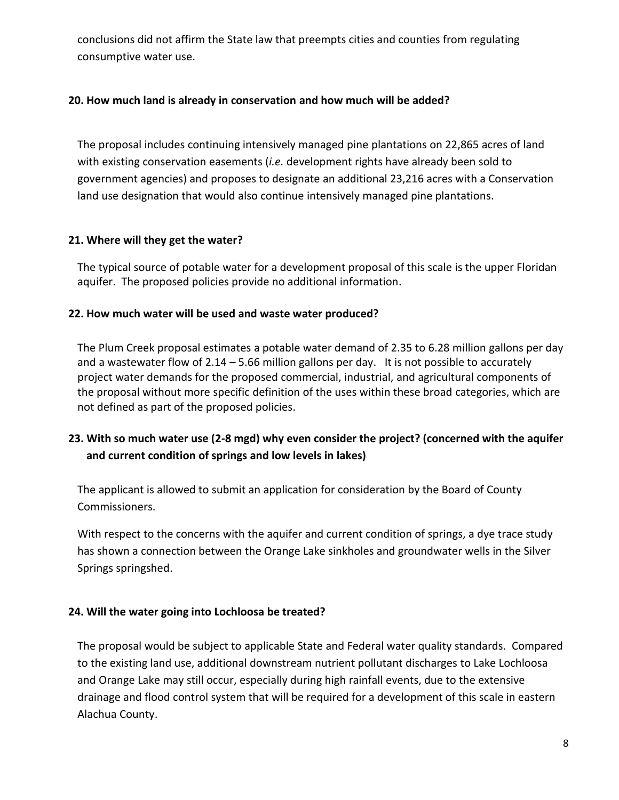conclusions did not affirm the State law that preempts cities and counties from regulating consumptive water use.

## **20. How much land is already in conservation and how much will be added?**

The proposal includes continuing intensively managed pine plantations on 22,865 acres of land with existing conservation easements (*i.e.* development rights have already been sold to government agencies) and proposes to designate an additional 23,216 acres with a Conservation land use designation that would also continue intensively managed pine plantations.

## **21. Where will they get the water?**

The typical source of potable water for a development proposal of this scale is the upper Floridan aquifer. The proposed policies provide no additional information.

## **22. How much water will be used and waste water produced?**

The Plum Creek proposal estimates a potable water demand of 2.35 to 6.28 million gallons per day and a wastewater flow of 2.14 – 5.66 million gallons per day. It is not possible to accurately project water demands for the proposed commercial, industrial, and agricultural components of the proposal without more specific definition of the uses within these broad categories, which are not defined as part of the proposed policies.

# **23. With so much water use (2-8 mgd) why even consider the project? (concerned with the aquifer and current condition of springs and low levels in lakes)**

The applicant is allowed to submit an application for consideration by the Board of County Commissioners.

With respect to the concerns with the aquifer and current condition of springs, a dye trace study has shown a connection between the Orange Lake sinkholes and groundwater wells in the Silver Springs springshed.

## **24. Will the water going into Lochloosa be treated?**

The proposal would be subject to applicable State and Federal water quality standards. Compared to the existing land use, additional downstream nutrient pollutant discharges to Lake Lochloosa and Orange Lake may still occur, especially during high rainfall events, due to the extensive drainage and flood control system that will be required for a development of this scale in eastern Alachua County.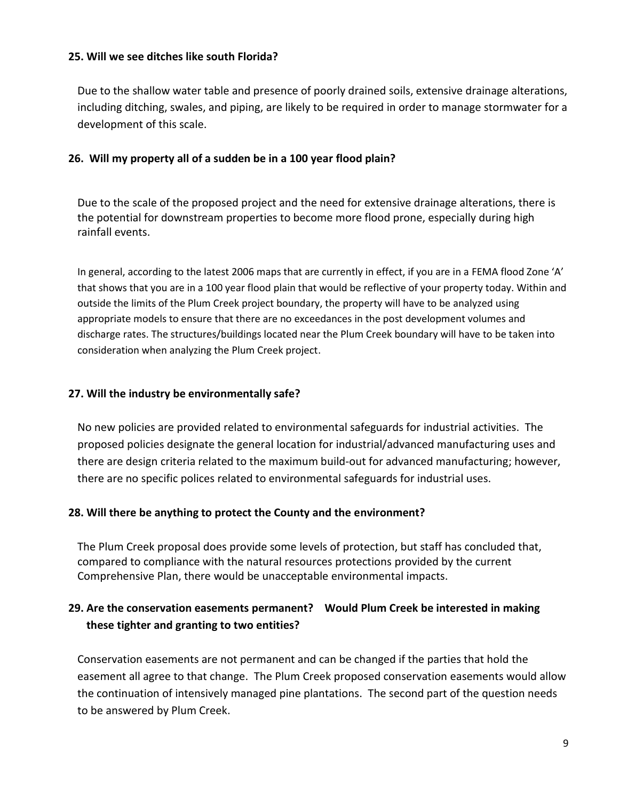#### **25. Will we see ditches like south Florida?**

Due to the shallow water table and presence of poorly drained soils, extensive drainage alterations, including ditching, swales, and piping, are likely to be required in order to manage stormwater for a development of this scale.

#### **26. Will my property all of a sudden be in a 100 year flood plain?**

Due to the scale of the proposed project and the need for extensive drainage alterations, there is the potential for downstream properties to become more flood prone, especially during high rainfall events.

In general, according to the latest 2006 maps that are currently in effect, if you are in a FEMA flood Zone 'A' that shows that you are in a 100 year flood plain that would be reflective of your property today. Within and outside the limits of the Plum Creek project boundary, the property will have to be analyzed using appropriate models to ensure that there are no exceedances in the post development volumes and discharge rates. The structures/buildings located near the Plum Creek boundary will have to be taken into consideration when analyzing the Plum Creek project.

#### **27. Will the industry be environmentally safe?**

No new policies are provided related to environmental safeguards for industrial activities. The proposed policies designate the general location for industrial/advanced manufacturing uses and there are design criteria related to the maximum build-out for advanced manufacturing; however, there are no specific polices related to environmental safeguards for industrial uses.

#### **28. Will there be anything to protect the County and the environment?**

The Plum Creek proposal does provide some levels of protection, but staff has concluded that, compared to compliance with the natural resources protections provided by the current Comprehensive Plan, there would be unacceptable environmental impacts.

## **29. Are the conservation easements permanent? Would Plum Creek be interested in making these tighter and granting to two entities?**

Conservation easements are not permanent and can be changed if the parties that hold the easement all agree to that change. The Plum Creek proposed conservation easements would allow the continuation of intensively managed pine plantations. The second part of the question needs to be answered by Plum Creek.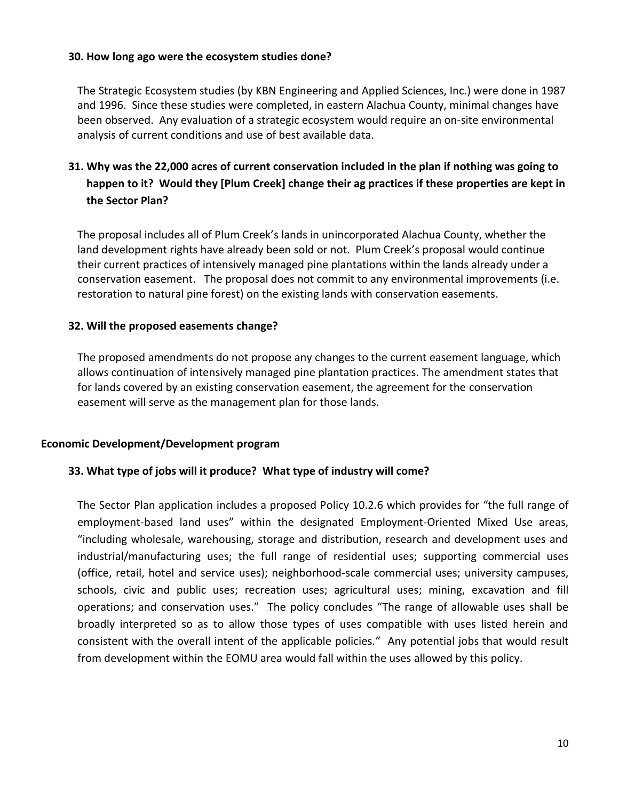#### **30. How long ago were the ecosystem studies done?**

The Strategic Ecosystem studies (by KBN Engineering and Applied Sciences, Inc.) were done in 1987 and 1996. Since these studies were completed, in eastern Alachua County, minimal changes have been observed. Any evaluation of a strategic ecosystem would require an on-site environmental analysis of current conditions and use of best available data.

# **31. Why was the 22,000 acres of current conservation included in the plan if nothing was going to happen to it? Would they [Plum Creek] change their ag practices if these properties are kept in the Sector Plan?**

The proposal includes all of Plum Creek's lands in unincorporated Alachua County, whether the land development rights have already been sold or not. Plum Creek's proposal would continue their current practices of intensively managed pine plantations within the lands already under a conservation easement. The proposal does not commit to any environmental improvements (i.e. restoration to natural pine forest) on the existing lands with conservation easements.

#### **32. Will the proposed easements change?**

The proposed amendments do not propose any changes to the current easement language, which allows continuation of intensively managed pine plantation practices. The amendment states that for lands covered by an existing conservation easement, the agreement for the conservation easement will serve as the management plan for those lands.

#### **Economic Development/Development program**

#### **33. What type of jobs will it produce? What type of industry will come?**

The Sector Plan application includes a proposed Policy 10.2.6 which provides for "the full range of employment-based land uses" within the designated Employment-Oriented Mixed Use areas, "including wholesale, warehousing, storage and distribution, research and development uses and industrial/manufacturing uses; the full range of residential uses; supporting commercial uses (office, retail, hotel and service uses); neighborhood-scale commercial uses; university campuses, schools, civic and public uses; recreation uses; agricultural uses; mining, excavation and fill operations; and conservation uses." The policy concludes "The range of allowable uses shall be broadly interpreted so as to allow those types of uses compatible with uses listed herein and consistent with the overall intent of the applicable policies." Any potential jobs that would result from development within the EOMU area would fall within the uses allowed by this policy.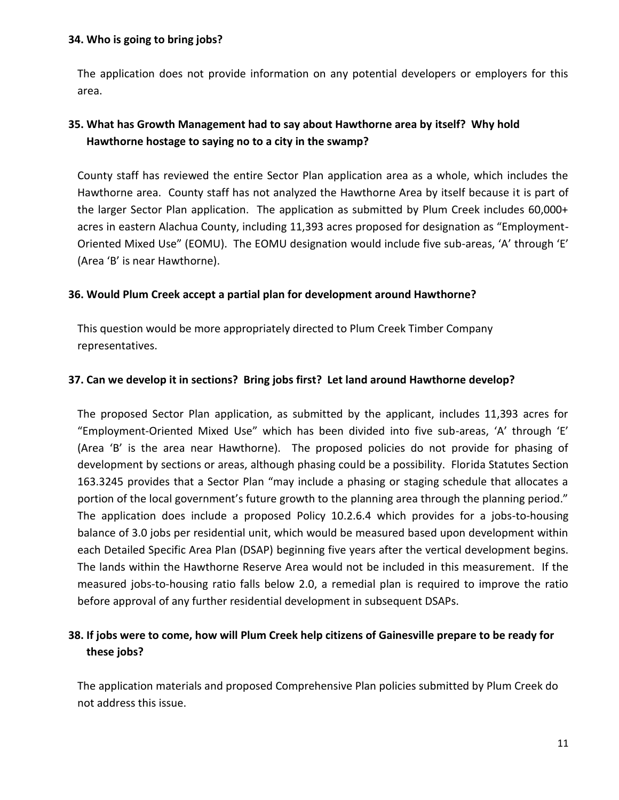#### **34. Who is going to bring jobs?**

The application does not provide information on any potential developers or employers for this area.

# **35. What has Growth Management had to say about Hawthorne area by itself? Why hold Hawthorne hostage to saying no to a city in the swamp?**

County staff has reviewed the entire Sector Plan application area as a whole, which includes the Hawthorne area. County staff has not analyzed the Hawthorne Area by itself because it is part of the larger Sector Plan application. The application as submitted by Plum Creek includes 60,000+ acres in eastern Alachua County, including 11,393 acres proposed for designation as "Employment-Oriented Mixed Use" (EOMU). The EOMU designation would include five sub-areas, 'A' through 'E' (Area 'B' is near Hawthorne).

### **36. Would Plum Creek accept a partial plan for development around Hawthorne?**

This question would be more appropriately directed to Plum Creek Timber Company representatives.

### **37. Can we develop it in sections? Bring jobs first? Let land around Hawthorne develop?**

The proposed Sector Plan application, as submitted by the applicant, includes 11,393 acres for "Employment-Oriented Mixed Use" which has been divided into five sub-areas, 'A' through 'E' (Area 'B' is the area near Hawthorne). The proposed policies do not provide for phasing of development by sections or areas, although phasing could be a possibility. Florida Statutes Section 163.3245 provides that a Sector Plan "may include a phasing or staging schedule that allocates a portion of the local government's future growth to the planning area through the planning period." The application does include a proposed Policy 10.2.6.4 which provides for a jobs-to-housing balance of 3.0 jobs per residential unit, which would be measured based upon development within each Detailed Specific Area Plan (DSAP) beginning five years after the vertical development begins. The lands within the Hawthorne Reserve Area would not be included in this measurement. If the measured jobs-to-housing ratio falls below 2.0, a remedial plan is required to improve the ratio before approval of any further residential development in subsequent DSAPs.

## **38. If jobs were to come, how will Plum Creek help citizens of Gainesville prepare to be ready for these jobs?**

The application materials and proposed Comprehensive Plan policies submitted by Plum Creek do not address this issue.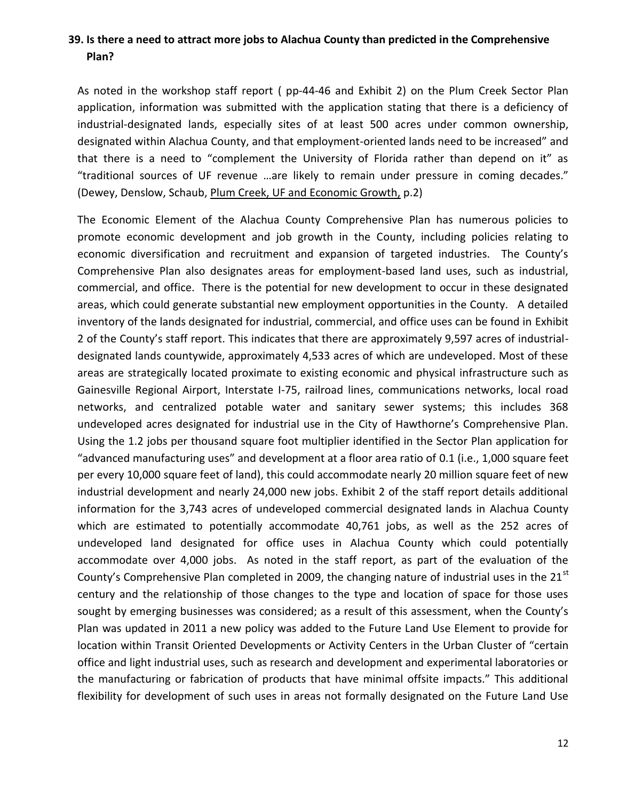## **39. Is there a need to attract more jobs to Alachua County than predicted in the Comprehensive Plan?**

As noted in the workshop staff report ( pp-44-46 and Exhibit 2) on the Plum Creek Sector Plan application, information was submitted with the application stating that there is a deficiency of industrial-designated lands, especially sites of at least 500 acres under common ownership, designated within Alachua County, and that employment-oriented lands need to be increased" and that there is a need to "complement the University of Florida rather than depend on it" as "traditional sources of UF revenue …are likely to remain under pressure in coming decades." (Dewey, Denslow, Schaub, Plum Creek, UF and Economic Growth, p.2)

The Economic Element of the Alachua County Comprehensive Plan has numerous policies to promote economic development and job growth in the County, including policies relating to economic diversification and recruitment and expansion of targeted industries. The County's Comprehensive Plan also designates areas for employment-based land uses, such as industrial, commercial, and office. There is the potential for new development to occur in these designated areas, which could generate substantial new employment opportunities in the County. A detailed inventory of the lands designated for industrial, commercial, and office uses can be found in Exhibit 2 of the County's staff report. This indicates that there are approximately 9,597 acres of industrialdesignated lands countywide, approximately 4,533 acres of which are undeveloped. Most of these areas are strategically located proximate to existing economic and physical infrastructure such as Gainesville Regional Airport, Interstate I-75, railroad lines, communications networks, local road networks, and centralized potable water and sanitary sewer systems; this includes 368 undeveloped acres designated for industrial use in the City of Hawthorne's Comprehensive Plan. Using the 1.2 jobs per thousand square foot multiplier identified in the Sector Plan application for "advanced manufacturing uses" and development at a floor area ratio of 0.1 (i.e., 1,000 square feet per every 10,000 square feet of land), this could accommodate nearly 20 million square feet of new industrial development and nearly 24,000 new jobs. Exhibit 2 of the staff report details additional information for the 3,743 acres of undeveloped commercial designated lands in Alachua County which are estimated to potentially accommodate 40,761 jobs, as well as the 252 acres of undeveloped land designated for office uses in Alachua County which could potentially accommodate over 4,000 jobs. As noted in the staff report, as part of the evaluation of the County's Comprehensive Plan completed in 2009, the changing nature of industrial uses in the 21<sup>st</sup> century and the relationship of those changes to the type and location of space for those uses sought by emerging businesses was considered; as a result of this assessment, when the County's Plan was updated in 2011 a new policy was added to the Future Land Use Element to provide for location within Transit Oriented Developments or Activity Centers in the Urban Cluster of "certain office and light industrial uses, such as research and development and experimental laboratories or the manufacturing or fabrication of products that have minimal offsite impacts." This additional flexibility for development of such uses in areas not formally designated on the Future Land Use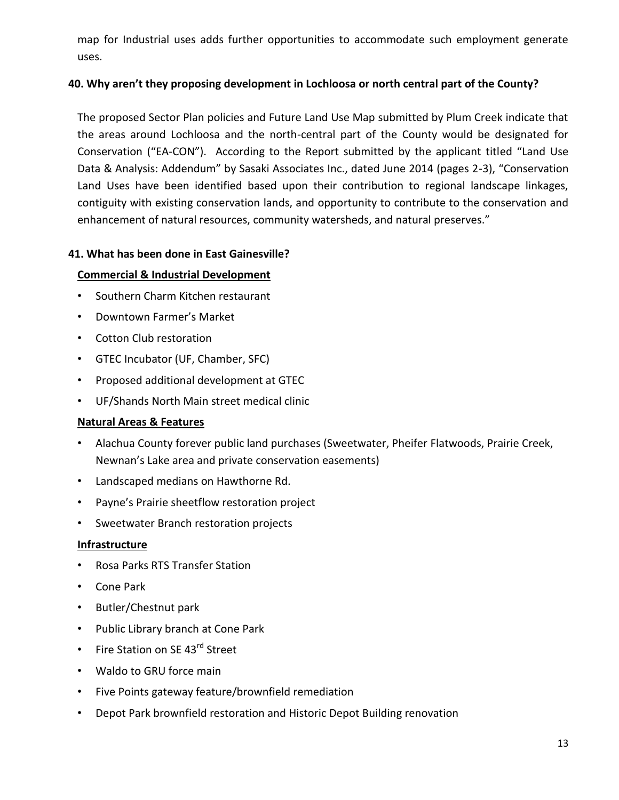map for Industrial uses adds further opportunities to accommodate such employment generate uses.

## **40. Why aren't they proposing development in Lochloosa or north central part of the County?**

The proposed Sector Plan policies and Future Land Use Map submitted by Plum Creek indicate that the areas around Lochloosa and the north-central part of the County would be designated for Conservation ("EA-CON"). According to the Report submitted by the applicant titled "Land Use Data & Analysis: Addendum" by Sasaki Associates Inc., dated June 2014 (pages 2-3), "Conservation Land Uses have been identified based upon their contribution to regional landscape linkages, contiguity with existing conservation lands, and opportunity to contribute to the conservation and enhancement of natural resources, community watersheds, and natural preserves."

## **41. What has been done in East Gainesville?**

## **Commercial & Industrial Development**

- Southern Charm Kitchen restaurant
- Downtown Farmer's Market
- Cotton Club restoration
- GTEC Incubator (UF, Chamber, SFC)
- Proposed additional development at GTEC
- UF/Shands North Main street medical clinic

## **Natural Areas & Features**

- Alachua County forever public land purchases (Sweetwater, Pheifer Flatwoods, Prairie Creek, Newnan's Lake area and private conservation easements)
- Landscaped medians on Hawthorne Rd.
- Payne's Prairie sheetflow restoration project
- Sweetwater Branch restoration projects

## **Infrastructure**

- Rosa Parks RTS Transfer Station
- Cone Park
- Butler/Chestnut park
- Public Library branch at Cone Park
- Fire Station on SE 43<sup>rd</sup> Street
- Waldo to GRU force main
- Five Points gateway feature/brownfield remediation
- Depot Park brownfield restoration and Historic Depot Building renovation